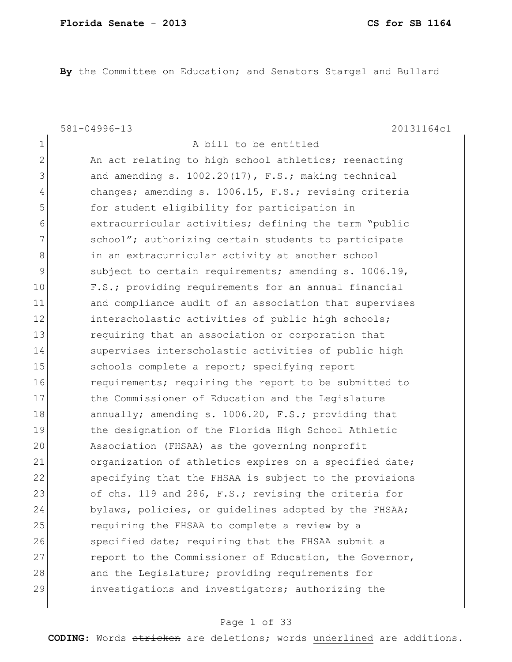**By** the Committee on Education; and Senators Stargel and Bullard

581-04996-13 20131164c1

| $\mathbf 1$    | A bill to be entitled                                  |
|----------------|--------------------------------------------------------|
| $\overline{2}$ | An act relating to high school athletics; reenacting   |
| 3              | and amending s. 1002.20(17), F.S.; making technical    |
| $\overline{4}$ | changes; amending s. 1006.15, F.S.; revising criteria  |
| 5              | for student eligibility for participation in           |
| 6              | extracurricular activities; defining the term "public  |
| 7              | school"; authorizing certain students to participate   |
| 8              | in an extracurricular activity at another school       |
| $\mathcal{G}$  | subject to certain requirements; amending s. 1006.19,  |
| 10             | F.S.; providing requirements for an annual financial   |
| 11             | and compliance audit of an association that supervises |
| 12             | interscholastic activities of public high schools;     |
| 13             | requiring that an association or corporation that      |
| 14             | supervises interscholastic activities of public high   |
| 15             | schools complete a report; specifying report           |
| 16             | requirements; requiring the report to be submitted to  |
| 17             | the Commissioner of Education and the Legislature      |
| 18             | annually; amending s. 1006.20, F.S.; providing that    |
| 19             | the designation of the Florida High School Athletic    |
| 20             | Association (FHSAA) as the governing nonprofit         |
| 21             | organization of athletics expires on a specified date; |
| 22             | specifying that the FHSAA is subject to the provisions |
| 23             | of chs. 119 and 286, F.S.; revising the criteria for   |
| 24             | bylaws, policies, or guidelines adopted by the FHSAA;  |
| 25             | requiring the FHSAA to complete a review by a          |
| 26             | specified date; requiring that the FHSAA submit a      |
| 27             | report to the Commissioner of Education, the Governor, |
| 28             | and the Legislature; providing requirements for        |
| 29             | investigations and investigators; authorizing the      |
|                |                                                        |

### Page 1 of 33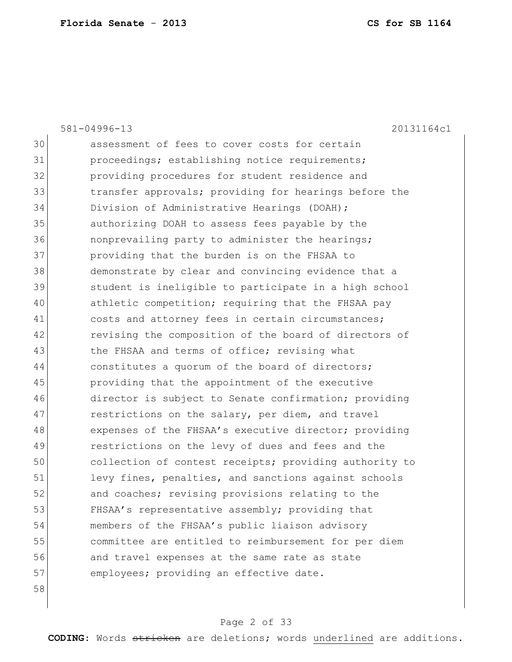|    | $581 - 04996 - 13$<br>20131164c1                       |
|----|--------------------------------------------------------|
| 30 | assessment of fees to cover costs for certain          |
| 31 | proceedings; establishing notice requirements;         |
| 32 | providing procedures for student residence and         |
| 33 | transfer approvals; providing for hearings before the  |
| 34 | Division of Administrative Hearings (DOAH);            |
| 35 | authorizing DOAH to assess fees payable by the         |
| 36 | nonprevailing party to administer the hearings;        |
| 37 | providing that the burden is on the FHSAA to           |
| 38 | demonstrate by clear and convincing evidence that a    |
| 39 | student is ineligible to participate in a high school  |
| 40 | athletic competition; requiring that the FHSAA pay     |
| 41 | costs and attorney fees in certain circumstances;      |
| 42 | revising the composition of the board of directors of  |
| 43 | the FHSAA and terms of office; revising what           |
| 44 | constitutes a quorum of the board of directors;        |
| 45 | providing that the appointment of the executive        |
| 46 | director is subject to Senate confirmation; providing  |
| 47 | restrictions on the salary, per diem, and travel       |
| 48 | expenses of the FHSAA's executive director; providing  |
| 49 | restrictions on the levy of dues and fees and the      |
| 50 | collection of contest receipts; providing authority to |
| 51 | levy fines, penalties, and sanctions against schools   |
| 52 | and coaches; revising provisions relating to the       |
| 53 | FHSAA's representative assembly; providing that        |
| 54 | members of the FHSAA's public liaison advisory         |
| 55 | committee are entitled to reimbursement for per diem   |
| 56 | and travel expenses at the same rate as state          |
| 57 | employees; providing an effective date.                |
| 58 |                                                        |

## Page 2 of 33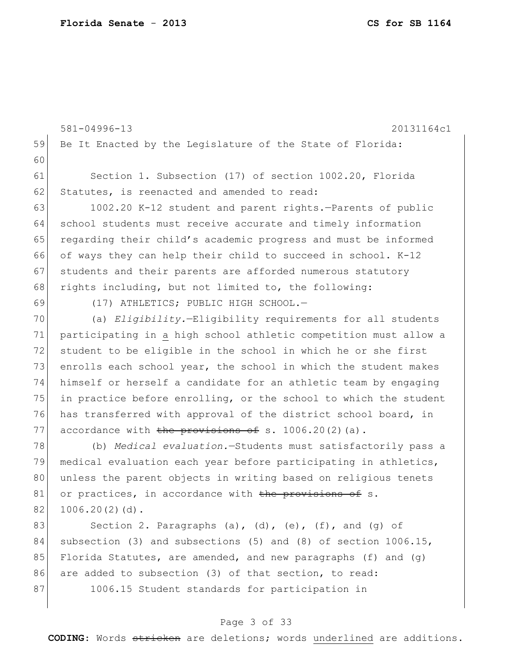|    | 581-04996-13<br>20131164c1                                        |
|----|-------------------------------------------------------------------|
| 59 | Be It Enacted by the Legislature of the State of Florida:         |
| 60 |                                                                   |
| 61 | Section 1. Subsection (17) of section 1002.20, Florida            |
| 62 | Statutes, is reenacted and amended to read:                       |
| 63 | 1002.20 K-12 student and parent rights.-Parents of public         |
| 64 | school students must receive accurate and timely information      |
| 65 | regarding their child's academic progress and must be informed    |
| 66 | of ways they can help their child to succeed in school. K-12      |
| 67 | students and their parents are afforded numerous statutory        |
| 68 | rights including, but not limited to, the following:              |
| 69 | (17) ATHLETICS; PUBLIC HIGH SCHOOL.-                              |
| 70 | (a) Eligibility.-Eligibility requirements for all students        |
| 71 | participating in a high school athletic competition must allow a  |
| 72 | student to be eligible in the school in which he or she first     |
| 73 | enrolls each school year, the school in which the student makes   |
| 74 | himself or herself a candidate for an athletic team by engaging   |
| 75 | in practice before enrolling, or the school to which the student  |
| 76 | has transferred with approval of the district school board, in    |
| 77 | accordance with the provisions of s. $1006.20(2)(a)$ .            |
| 78 | (b) Medical evaluation. - Students must satisfactorily pass a     |
| 79 | medical evaluation each year before participating in athletics,   |
| 80 | unless the parent objects in writing based on religious tenets    |
| 81 | or practices, in accordance with the provisions of s.             |
| 82 | $1006.20(2)(d)$ .                                                 |
| 83 | Section 2. Paragraphs (a), (d), (e), (f), and (g) of              |
| 84 | subsection (3) and subsections (5) and (8) of section $1006.15$ , |
| 85 | Florida Statutes, are amended, and new paragraphs $(f)$ and $(g)$ |
| 86 | are added to subsection (3) of that section, to read:             |
| 87 | 1006.15 Student standards for participation in                    |
|    |                                                                   |

## Page 3 of 33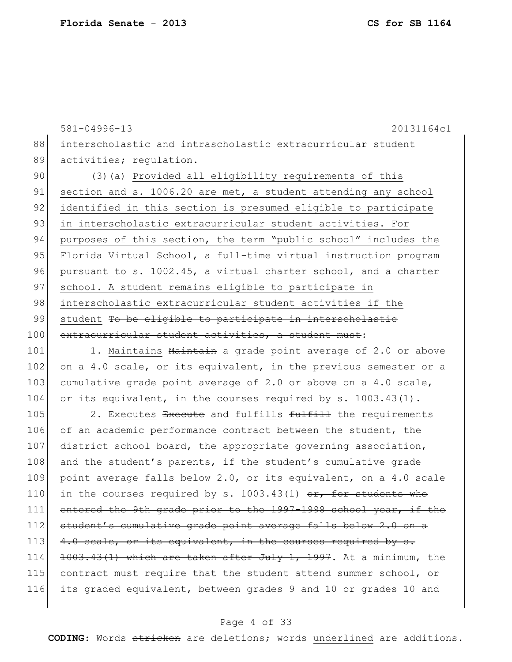581-04996-13 20131164c1 88 interscholastic and intrascholastic extracurricular student 89 activities; regulation.-90 (3) (a) Provided all eligibility requirements of this 91 section and s. 1006.20 are met, a student attending any school 92 identified in this section is presumed eligible to participate 93 in interscholastic extracurricular student activities. For 94 purposes of this section, the term "public school" includes the 95 Florida Virtual School, a full-time virtual instruction program 96 pursuant to s. 1002.45, a virtual charter school, and a charter 97 school. A student remains eligible to participate in 98 interscholastic extracurricular student activities if the 99 student To be eligible to participate in interscholastic 100 extracurricular student activities, a student must:  $101$  1. Maintains  $M$ aintain a grade point average of 2.0 or above 102 on a 4.0 scale, or its equivalent, in the previous semester or a 103 cumulative grade point average of 2.0 or above on a 4.0 scale, 104 or its equivalent, in the courses required by  $s. 1003.43(1)$ . 105 2. Executes Execute and fulfills  $f_{\text{ulfill}}$  the requirements 106 of an academic performance contract between the student, the 107 district school board, the appropriate governing association, 108 and the student's parents, if the student's cumulative grade 109 point average falls below 2.0, or its equivalent, on a 4.0 scale 110 in the courses required by s. 1003.43(1)  $\sigma$ r, for students who 111 entered the 9th grade prior to the 1997-1998 school year, if the 112 student's cumulative grade point average falls below 2.0 on a 113  $\left|$  4.0 scale, or its equivalent, in the courses required by s. 114 1003.43(1) which are taken after July 1, 1997. At a minimum, the 115 contract must require that the student attend summer school, or 116 its graded equivalent, between grades 9 and 10 or grades 10 and

### Page 4 of 33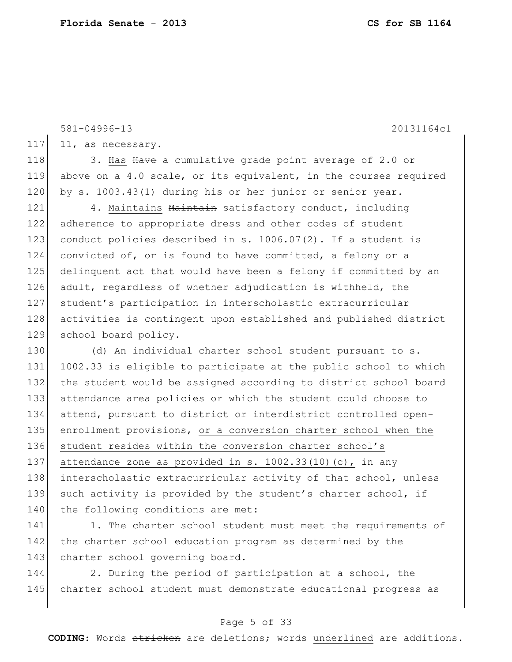|     | $581 - 04996 - 13$<br>20131164c1                                 |
|-----|------------------------------------------------------------------|
| 117 | 11, as necessary.                                                |
|     |                                                                  |
| 118 | 3. Has Have a cumulative grade point average of 2.0 or           |
| 119 | above on a 4.0 scale, or its equivalent, in the courses required |
| 120 | by s. 1003.43(1) during his or her junior or senior year.        |
| 121 | 4. Maintains Maintain satisfactory conduct, including            |
| 122 | adherence to appropriate dress and other codes of student        |
| 123 | conduct policies described in s. 1006.07(2). If a student is     |
| 124 | convicted of, or is found to have committed, a felony or a       |
| 125 | delinquent act that would have been a felony if committed by an  |
| 126 | adult, regardless of whether adjudication is withheld, the       |
| 127 | student's participation in interscholastic extracurricular       |
| 128 | activities is contingent upon established and published district |
| 129 | school board policy.                                             |
| 130 | (d) An individual charter school student pursuant to s.          |
| 131 | 1002.33 is eligible to participate at the public school to which |
| 132 | the student would be assigned according to district school board |
| 133 | attendance area policies or which the student could choose to    |
| 134 | attend, pursuant to district or interdistrict controlled open-   |
| 135 | enrollment provisions, or a conversion charter school when the   |
| 136 | student resides within the conversion charter school's           |
| 137 | attendance zone as provided in s. $1002.33(10)(c)$ , in any      |
| 138 | interscholastic extracurricular activity of that school, unless  |
| 139 | such activity is provided by the student's charter school, if    |
| 140 | the following conditions are met:                                |
| 141 | 1. The charter school student must meet the requirements of      |

142 the charter school education program as determined by the 143 charter school governing board.

144 2. During the period of participation at a school, the 145 charter school student must demonstrate educational progress as

### Page 5 of 33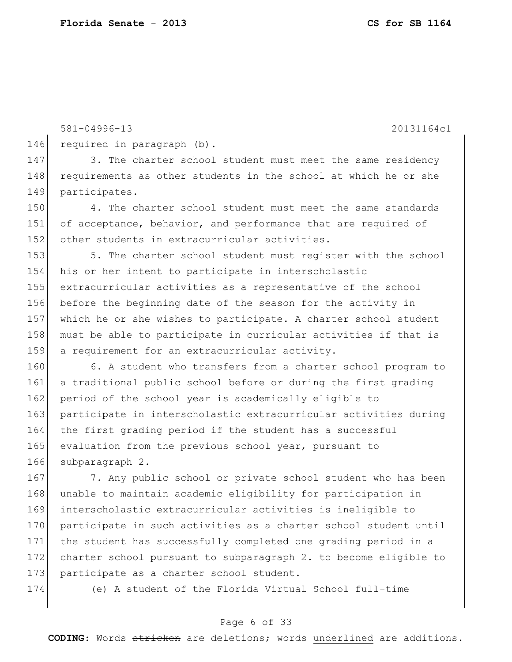581-04996-13 20131164c1 146 required in paragraph (b). 147 3. The charter school student must meet the same residency 148 requirements as other students in the school at which he or she 149 participates. 150 4. The charter school student must meet the same standards 151 of acceptance, behavior, and performance that are required of 152 other students in extracurricular activities. 153 5. The charter school student must register with the school 154 his or her intent to participate in interscholastic 155 extracurricular activities as a representative of the school

156 before the beginning date of the season for the activity in 157 which he or she wishes to participate. A charter school student 158 must be able to participate in curricular activities if that is 159 a requirement for an extracurricular activity.

160 6. A student who transfers from a charter school program to 161 a traditional public school before or during the first grading 162 period of the school year is academically eligible to 163 participate in interscholastic extracurricular activities during 164 the first grading period if the student has a successful 165 evaluation from the previous school year, pursuant to 166 subparagraph 2.

167 7. Any public school or private school student who has been 168 unable to maintain academic eligibility for participation in 169 interscholastic extracurricular activities is ineligible to 170 participate in such activities as a charter school student until 171 the student has successfully completed one grading period in a 172 charter school pursuant to subparagraph 2. to become eligible to 173 participate as a charter school student.

174 (e) A student of the Florida Virtual School full-time

### Page 6 of 33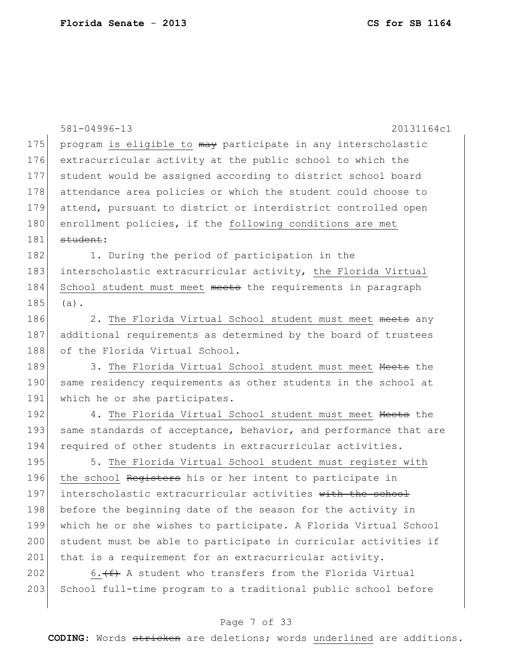|     | 581-04996-13<br>20131164c1                                       |
|-----|------------------------------------------------------------------|
| 175 | program is eligible to may participate in any interscholastic    |
| 176 | extracurricular activity at the public school to which the       |
| 177 | student would be assigned according to district school board     |
| 178 | attendance area policies or which the student could choose to    |
| 179 | attend, pursuant to district or interdistrict controlled open    |
| 180 | enrollment policies, if the following conditions are met         |
| 181 | student:                                                         |
| 182 | 1. During the period of participation in the                     |
| 183 | interscholastic extracurricular activity, the Florida Virtual    |
| 184 | School student must meet meets the requirements in paragraph     |
| 185 | $(a)$ .                                                          |
| 186 | 2. The Florida Virtual School student must meet meets any        |
| 187 | additional requirements as determined by the board of trustees   |
| 188 | of the Florida Virtual School.                                   |
| 189 | 3. The Florida Virtual School student must meet Meets the        |
| 190 | same residency requirements as other students in the school at   |
| 191 | which he or she participates.                                    |
| 192 | 4. The Florida Virtual School student must meet Meets the        |
| 193 | same standards of acceptance, behavior, and performance that are |
| 194 | required of other students in extracurricular activities.        |
| 195 | 5. The Florida Virtual School student must register with         |
| 196 | the school Registers his or her intent to participate in         |
| 197 | interscholastic extracurricular activities with the school       |
| 198 | before the beginning date of the season for the activity in      |
| 199 | which he or she wishes to participate. A Florida Virtual School  |
| 200 | student must be able to participate in curricular activities if  |
| 201 | that is a requirement for an extracurricular activity.           |
| 202 | 6. $(f)$ A student who transfers from the Florida Virtual        |
| 203 | School full-time program to a traditional public school before   |
|     |                                                                  |

## Page 7 of 33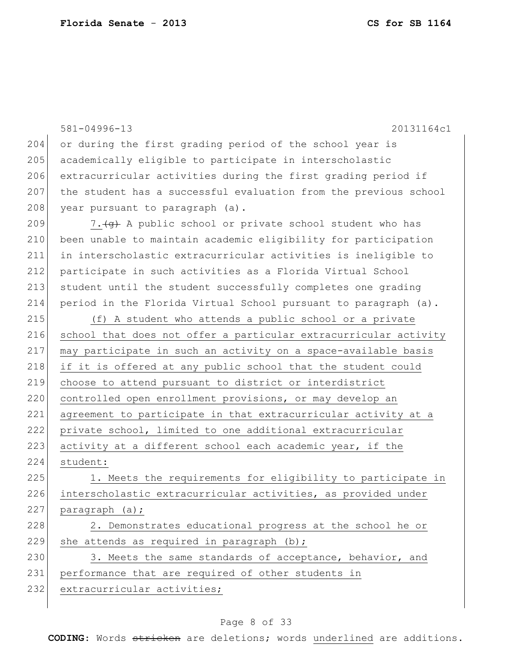| 204 | 581-04996-13<br>20131164c1                                                 |
|-----|----------------------------------------------------------------------------|
| 205 | or during the first grading period of the school year is                   |
|     | academically eligible to participate in interscholastic                    |
| 206 | extracurricular activities during the first grading period if              |
| 207 | the student has a successful evaluation from the previous school           |
| 208 | year pursuant to paragraph (a).                                            |
| 209 | 7. (g) A public school or private school student who has                   |
| 210 | been unable to maintain academic eligibility for participation             |
| 211 | in interscholastic extracurricular activities is ineligible to             |
| 212 | participate in such activities as a Florida Virtual School                 |
| 213 | student until the student successfully completes one grading               |
| 214 | period in the Florida Virtual School pursuant to paragraph (a).            |
| 215 | (f) A student who attends a public school or a private                     |
| 216 | school that does not offer a particular extracurricular activity           |
| 217 | may participate in such an activity on a space-available basis             |
| 218 | if it is offered at any public school that the student could               |
| 219 | choose to attend pursuant to district or interdistrict                     |
| 220 | controlled open enrollment provisions, or may develop an                   |
| 221 | agreement to participate in that extracurricular activity at a             |
| 222 | private school, limited to one additional extracurricular                  |
| 223 | activity at a different school each academic year, if the                  |
| 224 | student:                                                                   |
| 225 | 1. Meets the requirements for eligibility to participate in                |
| 226 | interscholastic extracurricular activities, as provided under              |
| 227 | paragraph (a);                                                             |
| 228 | 2. Demonstrates educational progress at the school he or                   |
| 229 | she attends as required in paragraph (b);                                  |
| 230 | 3. Meets the same standards of acceptance, behavior, and                   |
| 231 | performance that are required of other students in                         |
| 232 | extracurricular activities;                                                |
|     |                                                                            |
|     | $D_{2}$ $\alpha$ $\alpha$ $\beta$ $\alpha$ $\beta$ $\beta$ $\beta$ $\beta$ |

### Page 8 of 33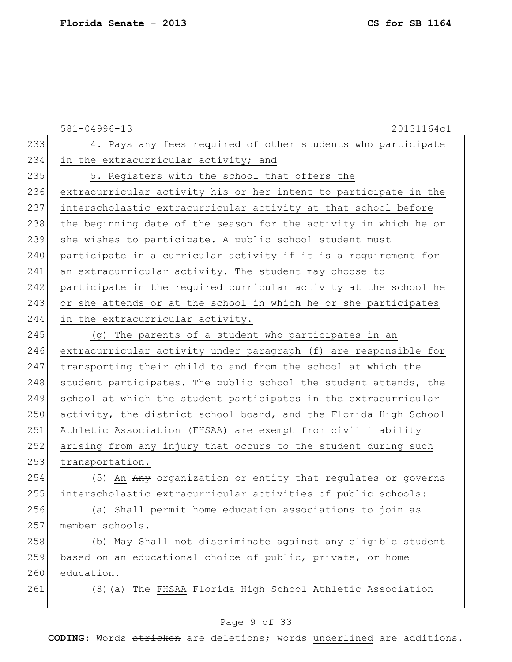|     | 581-04996-13<br>20131164c1                                       |
|-----|------------------------------------------------------------------|
| 233 | 4. Pays any fees required of other students who participate      |
| 234 | in the extracurricular activity; and                             |
| 235 | 5. Registers with the school that offers the                     |
| 236 | extracurricular activity his or her intent to participate in the |
| 237 | interscholastic extracurricular activity at that school before   |
| 238 | the beginning date of the season for the activity in which he or |
| 239 | she wishes to participate. A public school student must          |
| 240 | participate in a curricular activity if it is a requirement for  |
| 241 | an extracurricular activity. The student may choose to           |
| 242 | participate in the required curricular activity at the school he |
| 243 | or she attends or at the school in which he or she participates  |
| 244 | in the extracurricular activity.                                 |
| 245 | (g) The parents of a student who participates in an              |
| 246 | extracurricular activity under paragraph (f) are responsible for |
| 247 | transporting their child to and from the school at which the     |
| 248 | student participates. The public school the student attends, the |
| 249 | school at which the student participates in the extracurricular  |
| 250 | activity, the district school board, and the Florida High School |
| 251 | Athletic Association (FHSAA) are exempt from civil liability     |
| 252 | arising from any injury that occurs to the student during such   |
| 253 | transportation.                                                  |
| 254 | (5) An Any organization or entity that regulates or governs      |
| 255 | interscholastic extracurricular activities of public schools:    |
| 256 | (a) Shall permit home education associations to join as          |
| 257 | member schools.                                                  |
| 258 | (b) May Shall not discriminate against any eligible student      |
| 259 | based on an educational choice of public, private, or home       |
| 260 | education.                                                       |
| 261 | (8) (a) The FHSAA Florida High School Athletic Association       |

## Page 9 of 33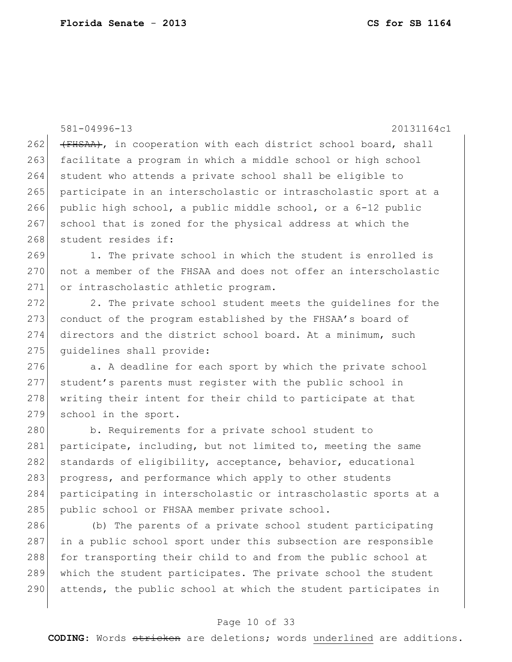581-04996-13 20131164c1  $262$  (FHSAA), in cooperation with each district school board, shall 263 facilitate a program in which a middle school or high school 264 student who attends a private school shall be eligible to 265 participate in an interscholastic or intrascholastic sport at a 266 public high school, a public middle school, or a 6-12 public 267 school that is zoned for the physical address at which the 268 student resides if: 269 1. The private school in which the student is enrolled is 270 not a member of the FHSAA and does not offer an interscholastic 271 or intrascholastic athletic program.  $272$  2. The private school student meets the quidelines for the 273 conduct of the program established by the FHSAA's board of 274 directors and the district school board. At a minimum, such 275 quidelines shall provide: 276 a. A deadline for each sport by which the private school 277 student's parents must register with the public school in 278 writing their intent for their child to participate at that 279 school in the sport. 280 b. Requirements for a private school student to 281 participate, including, but not limited to, meeting the same 282 standards of eligibility, acceptance, behavior, educational 283 progress, and performance which apply to other students 284 participating in interscholastic or intrascholastic sports at a 285 public school or FHSAA member private school. 286 (b) The parents of a private school student participating 287 in a public school sport under this subsection are responsible 288 for transporting their child to and from the public school at

290 attends, the public school at which the student participates in

289 which the student participates. The private school the student

### Page 10 of 33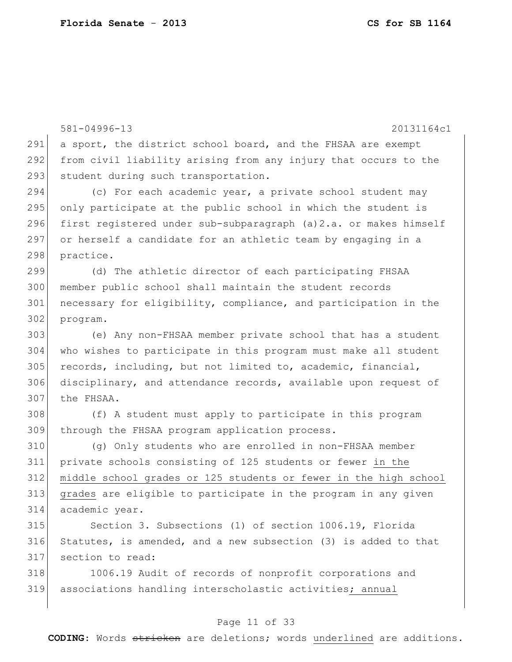581-04996-13 20131164c1 291 a sport, the district school board, and the FHSAA are exempt from civil liability arising from any injury that occurs to the 293 student during such transportation. 294 (c) For each academic year, a private school student may 295 only participate at the public school in which the student is 296 first registered under sub-subparagraph (a) 2.a. or makes himself or herself a candidate for an athletic team by engaging in a practice. (d) The athletic director of each participating FHSAA member public school shall maintain the student records 301 necessary for eligibility, compliance, and participation in the program. (e) Any non-FHSAA member private school that has a student who wishes to participate in this program must make all student records, including, but not limited to, academic, financial, disciplinary, and attendance records, available upon request of the FHSAA. (f) A student must apply to participate in this program 309 through the FHSAA program application process. (g) Only students who are enrolled in non-FHSAA member private schools consisting of 125 students or fewer in the middle school grades or 125 students or fewer in the high school grades are eligible to participate in the program in any given academic year. Section 3. Subsections (1) of section 1006.19, Florida Statutes, is amended, and a new subsection (3) is added to that

318 1006.19 Audit of records of nonprofit corporations and associations handling interscholastic activities; annual

section to read:

#### Page 11 of 33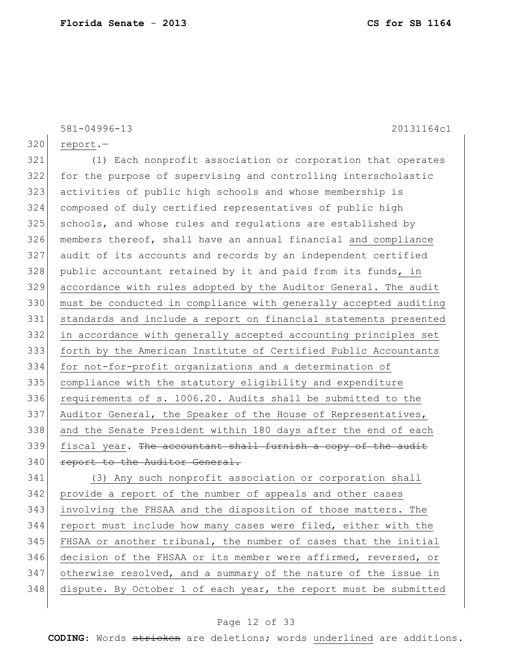581-04996-13 20131164c1 320 report.- (1) Each nonprofit association or corporation that operates for the purpose of supervising and controlling interscholastic activities of public high schools and whose membership is composed of duly certified representatives of public high 325 schools, and whose rules and regulations are established by members thereof, shall have an annual financial and compliance audit of its accounts and records by an independent certified 328 public accountant retained by it and paid from its funds, in accordance with rules adopted by the Auditor General. The audit must be conducted in compliance with generally accepted auditing standards and include a report on financial statements presented in accordance with generally accepted accounting principles set forth by the American Institute of Certified Public Accountants 334 for not-for-profit organizations and a determination of compliance with the statutory eligibility and expenditure requirements of s. 1006.20. Audits shall be submitted to the 337 Auditor General, the Speaker of the House of Representatives, and the Senate President within 180 days after the end of each 339 fiscal year. The accountant shall furnish a copy of the audit 340 report to the Auditor General. (3) Any such nonprofit association or corporation shall 342 provide a report of the number of appeals and other cases involving the FHSAA and the disposition of those matters. The report must include how many cases were filed, either with the

345 FHSAA or another tribunal, the number of cases that the initial 346 decision of the FHSAA or its member were affirmed, reversed, or 347 otherwise resolved, and a summary of the nature of the issue in 348 dispute. By October 1 of each year, the report must be submitted

#### Page 12 of 33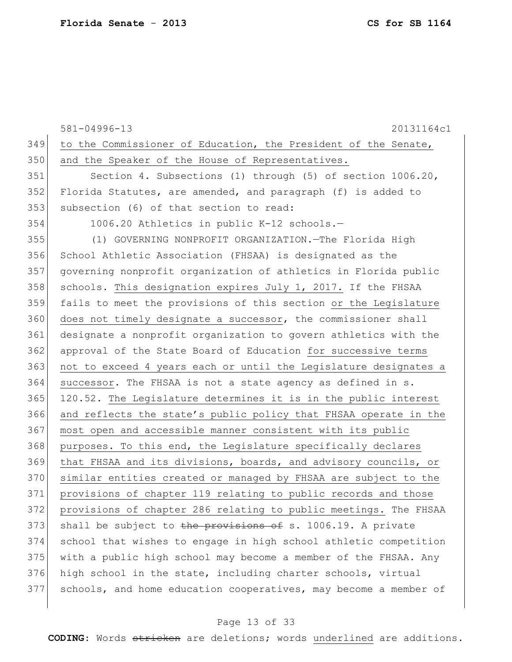|     | 581-04996-13<br>20131164c1                                       |
|-----|------------------------------------------------------------------|
| 349 | to the Commissioner of Education, the President of the Senate,   |
| 350 | and the Speaker of the House of Representatives.                 |
| 351 | Section 4. Subsections (1) through (5) of section 1006.20,       |
| 352 | Florida Statutes, are amended, and paragraph (f) is added to     |
| 353 | subsection (6) of that section to read:                          |
| 354 | 1006.20 Athletics in public K-12 schools.-                       |
| 355 | (1) GOVERNING NONPROFIT ORGANIZATION. The Florida High           |
| 356 | School Athletic Association (FHSAA) is designated as the         |
| 357 | governing nonprofit organization of athletics in Florida public  |
| 358 | schools. This designation expires July 1, 2017. If the FHSAA     |
| 359 | fails to meet the provisions of this section or the Legislature  |
| 360 | does not timely designate a successor, the commissioner shall    |
| 361 | designate a nonprofit organization to govern athletics with the  |
| 362 | approval of the State Board of Education for successive terms    |
| 363 | not to exceed 4 years each or until the Legislature designates a |
| 364 | successor. The FHSAA is not a state agency as defined in s.      |
| 365 | 120.52. The Legislature determines it is in the public interest  |
| 366 | and reflects the state's public policy that FHSAA operate in the |
| 367 | most open and accessible manner consistent with its public       |
| 368 | purposes. To this end, the Legislature specifically declares     |
| 369 | that FHSAA and its divisions, boards, and advisory councils, or  |
| 370 | similar entities created or managed by FHSAA are subject to the  |
| 371 | provisions of chapter 119 relating to public records and those   |
| 372 | provisions of chapter 286 relating to public meetings. The FHSAA |
| 373 | shall be subject to the provisions of s. 1006.19. A private      |
| 374 | school that wishes to engage in high school athletic competition |
| 375 | with a public high school may become a member of the FHSAA. Any  |
| 376 | high school in the state, including charter schools, virtual     |
| 377 | schools, and home education cooperatives, may become a member of |
|     |                                                                  |

## Page 13 of 33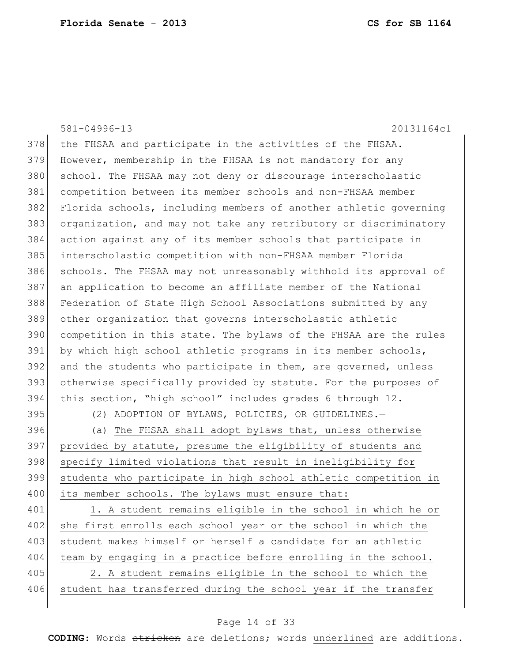581-04996-13 20131164c1 378 the FHSAA and participate in the activities of the FHSAA. 379 However, membership in the FHSAA is not mandatory for any 380 school. The FHSAA may not deny or discourage interscholastic 381 competition between its member schools and non-FHSAA member 382 Florida schools, including members of another athletic governing 383 organization, and may not take any retributory or discriminatory 384 action against any of its member schools that participate in 385 interscholastic competition with non-FHSAA member Florida 386 schools. The FHSAA may not unreasonably withhold its approval of 387 an application to become an affiliate member of the National 388 Federation of State High School Associations submitted by any 389 other organization that governs interscholastic athletic 390 competition in this state. The bylaws of the FHSAA are the rules 391 by which high school athletic programs in its member schools, 392 and the students who participate in them, are governed, unless 393 otherwise specifically provided by statute. For the purposes of 394 this section, "high school" includes grades 6 through 12. 395 (2) ADOPTION OF BYLAWS, POLICIES, OR GUIDELINES. 396 (a) The FHSAA shall adopt bylaws that, unless otherwise 397 provided by statute, presume the eligibility of students and 398 specify limited violations that result in ineligibility for 399 students who participate in high school athletic competition in 400 its member schools. The bylaws must ensure that: 401 1. A student remains eligible in the school in which he or 402 she first enrolls each school year or the school in which the 403 student makes himself or herself a candidate for an athletic 404 team by engaging in a practice before enrolling in the school. 405 2. A student remains eligible in the school to which the 406 student has transferred during the school year if the transfer

#### Page 14 of 33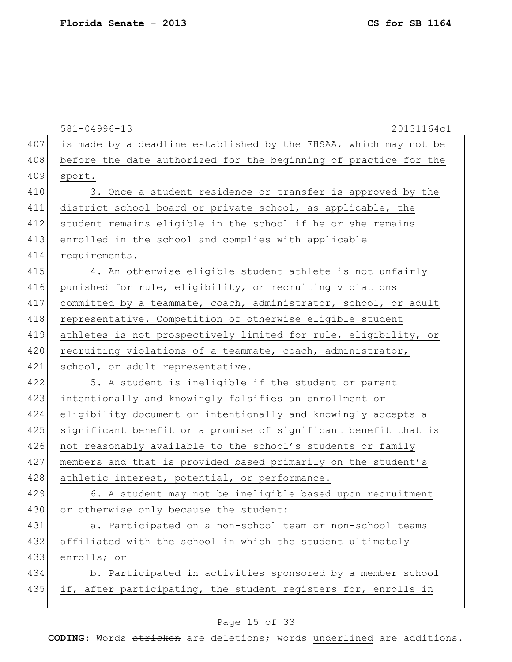|     | $581 - 04996 - 13$<br>20131164c1                                 |
|-----|------------------------------------------------------------------|
| 407 | is made by a deadline established by the FHSAA, which may not be |
| 408 | before the date authorized for the beginning of practice for the |
| 409 | sport.                                                           |
| 410 | 3. Once a student residence or transfer is approved by the       |
| 411 | district school board or private school, as applicable, the      |
| 412 | student remains eligible in the school if he or she remains      |
| 413 | enrolled in the school and complies with applicable              |
| 414 | requirements.                                                    |
| 415 | 4. An otherwise eligible student athlete is not unfairly         |
| 416 | punished for rule, eligibility, or recruiting violations         |
| 417 | committed by a teammate, coach, administrator, school, or adult  |
| 418 | representative. Competition of otherwise eligible student        |
| 419 | athletes is not prospectively limited for rule, eligibility, or  |
| 420 | recruiting violations of a teammate, coach, administrator,       |
| 421 | school, or adult representative.                                 |
| 422 | 5. A student is ineligible if the student or parent              |
| 423 | intentionally and knowingly falsifies an enrollment or           |
| 424 | eligibility document or intentionally and knowingly accepts a    |
| 425 | significant benefit or a promise of significant benefit that is  |
| 426 | not reasonably available to the school's students or family      |
| 427 | members and that is provided based primarily on the student's    |
| 428 | athletic interest, potential, or performance.                    |
| 429 | 6. A student may not be ineligible based upon recruitment        |
| 430 | or otherwise only because the student:                           |
| 431 | a. Participated on a non-school team or non-school teams         |
| 432 | affiliated with the school in which the student ultimately       |
| 433 | enrolls; or                                                      |
| 434 | b. Participated in activities sponsored by a member school       |
| 435 | if, after participating, the student registers for, enrolls in   |
|     |                                                                  |

## Page 15 of 33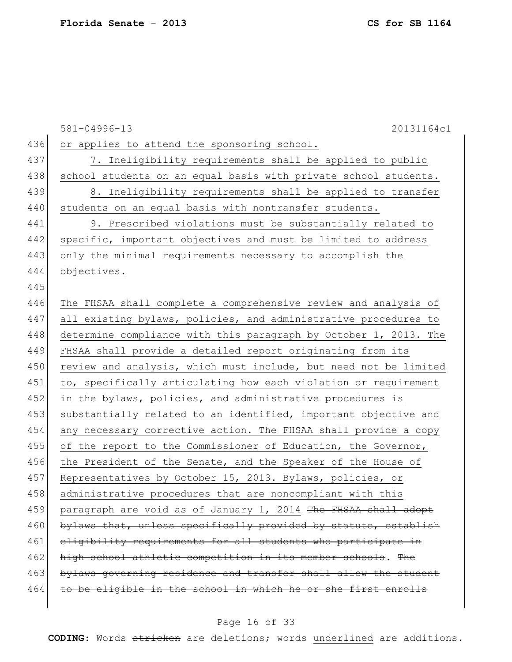|     | 581-04996-13<br>20131164c1                                       |
|-----|------------------------------------------------------------------|
| 436 | or applies to attend the sponsoring school.                      |
| 437 | 7. Ineligibility requirements shall be applied to public         |
| 438 | school students on an equal basis with private school students.  |
| 439 | 8. Ineligibility requirements shall be applied to transfer       |
| 440 | students on an equal basis with nontransfer students.            |
| 441 | 9. Prescribed violations must be substantially related to        |
| 442 | specific, important objectives and must be limited to address    |
| 443 | only the minimal requirements necessary to accomplish the        |
| 444 | objectives.                                                      |
| 445 |                                                                  |
| 446 | The FHSAA shall complete a comprehensive review and analysis of  |
| 447 | all existing bylaws, policies, and administrative procedures to  |
| 448 | determine compliance with this paragraph by October 1, 2013. The |
| 449 | FHSAA shall provide a detailed report originating from its       |
| 450 | review and analysis, which must include, but need not be limited |
| 451 | to, specifically articulating how each violation or requirement  |
| 452 | in the bylaws, policies, and administrative procedures is        |
| 453 | substantially related to an identified, important objective and  |
| 454 | any necessary corrective action. The FHSAA shall provide a copy  |
| 455 | of the report to the Commissioner of Education, the Governor,    |
| 456 | the President of the Senate, and the Speaker of the House of     |
| 457 | Representatives by October 15, 2013. Bylaws, policies, or        |
| 458 | administrative procedures that are noncompliant with this        |
| 459 | paragraph are void as of January 1, 2014 The FHSAA shall adopt   |
| 460 | bylaws that, unless specifically provided by statute, establish  |
| 461 | eligibility requirements for all students who participate in     |
| 462 | high school athletic competition in its member schools. The      |
| 463 | bylaws governing residence and transfer shall allow the student  |
| 464 | to be eligible in the school in which he or she first enrolls    |
|     |                                                                  |

## Page 16 of 33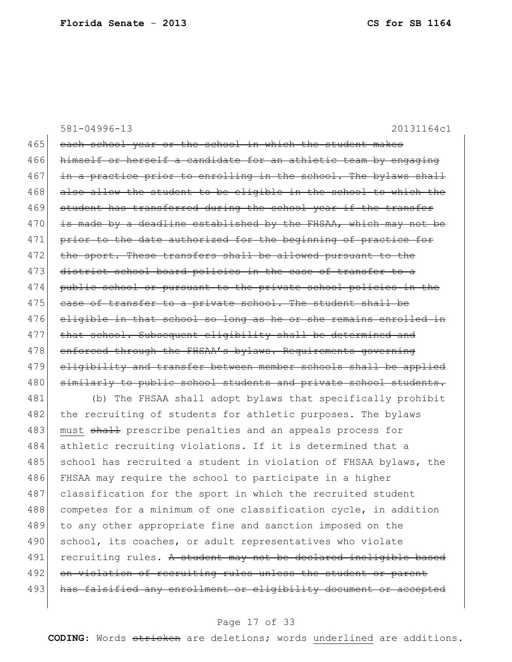581-04996-13 20131164c1 465 each school year or the school in which the student makes 466 himself or herself a candidate for an athletic team by engaging 467 in a practice prior to enrolling in the school. The bylaws shall 468 also allow the student to be eligible in the school to which the 469 student has transferred during the school year if the transfer  $470$  is made by a deadline established by the FHSAA, which may not be 471 prior to the date authorized for the beginning of practice for 472 the sport. These transfers shall be allowed pursuant to the 473 district school board policies in the case of transfer to a 474 public school or pursuant to the private school policies in the 475 case of transfer to a private school. The student shall be 476 eligible in that school so long as he or she remains enrolled in 477 | that school. Subsequent eligibility shall be determined and 478 enforced through the FHSAA's bylaws. Requirements governing 479 eligibility and transfer between member schools shall be applied 480 similarly to public school students and private school students. 481 (b) The FHSAA shall adopt bylaws that specifically prohibit

482 the recruiting of students for athletic purposes. The bylaws 483 must shall prescribe penalties and an appeals process for 484 athletic recruiting violations. If it is determined that a 485 school has recruited a student in violation of FHSAA bylaws, the 486 FHSAA may require the school to participate in a higher 487 classification for the sport in which the recruited student 488 competes for a minimum of one classification cycle, in addition 489 to any other appropriate fine and sanction imposed on the 490 school, its coaches, or adult representatives who violate 491 recruiting rules. A student may not be declared ineligible based 492 on violation of recruiting rules unless the student or parent 493 has falsified any enrollment or eligibility document or accepted

#### Page 17 of 33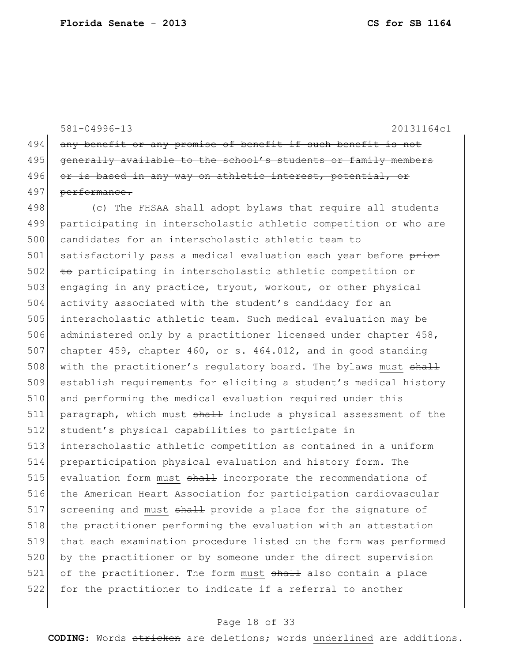581-04996-13 20131164c1 494 any benefit or any promise of benefit if such benefit is not 495 generally available to the school's students or family members 496 or is based in any way on athletic interest, potential, or 497 performance. 498 (c) The FHSAA shall adopt bylaws that require all students 499 participating in interscholastic athletic competition or who are 500 candidates for an interscholastic athletic team to 501 satisfactorily pass a medical evaluation each year before prior 502 to participating in interscholastic athletic competition or 503 engaging in any practice, tryout, workout, or other physical 504 activity associated with the student's candidacy for an 505 interscholastic athletic team. Such medical evaluation may be 506 administered only by a practitioner licensed under chapter 458, 507 chapter 459, chapter 460, or s. 464.012, and in good standing 508 with the practitioner's regulatory board. The bylaws must shall 509 establish requirements for eliciting a student's medical history 510 and performing the medical evaluation required under this 511 paragraph, which must shall include a physical assessment of the 512 student's physical capabilities to participate in 513 interscholastic athletic competition as contained in a uniform 514 preparticipation physical evaluation and history form. The 515 evaluation form must shall incorporate the recommendations of 516 the American Heart Association for participation cardiovascular 517 screening and must shall provide a place for the signature of 518 the practitioner performing the evaluation with an attestation 519 that each examination procedure listed on the form was performed 520 by the practitioner or by someone under the direct supervision 521 of the practitioner. The form must shall also contain a place 522 for the practitioner to indicate if a referral to another

### Page 18 of 33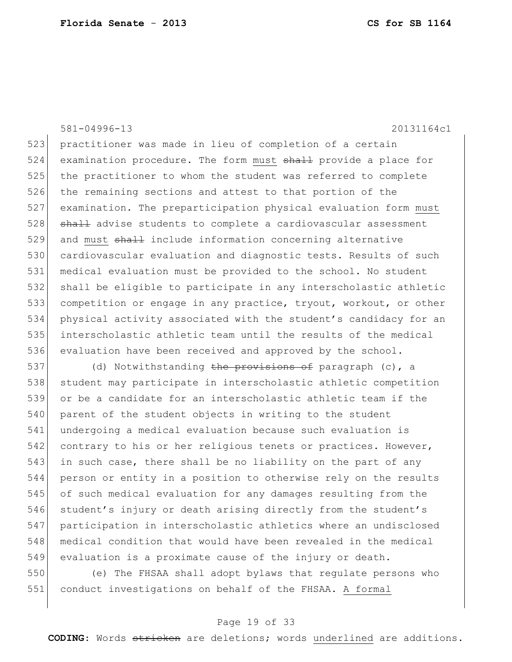523 practitioner was made in lieu of completion of a certain 524 examination procedure. The form must shall provide a place for the practitioner to whom the student was referred to complete the remaining sections and attest to that portion of the examination. The preparticipation physical evaluation form must 528 shall advise students to complete a cardiovascular assessment 529 and must shall include information concerning alternative cardiovascular evaluation and diagnostic tests. Results of such medical evaluation must be provided to the school. No student shall be eligible to participate in any interscholastic athletic 533 competition or engage in any practice, tryout, workout, or other physical activity associated with the student's candidacy for an interscholastic athletic team until the results of the medical evaluation have been received and approved by the school.

581-04996-13 20131164c1

537 (d) Notwithstanding the provisions of paragraph (c), a 538 student may participate in interscholastic athletic competition 539 or be a candidate for an interscholastic athletic team if the 540 parent of the student objects in writing to the student 541 undergoing a medical evaluation because such evaluation is 542 contrary to his or her religious tenets or practices. However, 543 in such case, there shall be no liability on the part of any 544 person or entity in a position to otherwise rely on the results 545 of such medical evaluation for any damages resulting from the 546 student's injury or death arising directly from the student's 547 participation in interscholastic athletics where an undisclosed 548 medical condition that would have been revealed in the medical 549 evaluation is a proximate cause of the injury or death.

550 (e) The FHSAA shall adopt bylaws that regulate persons who 551 conduct investigations on behalf of the FHSAA. A formal

### Page 19 of 33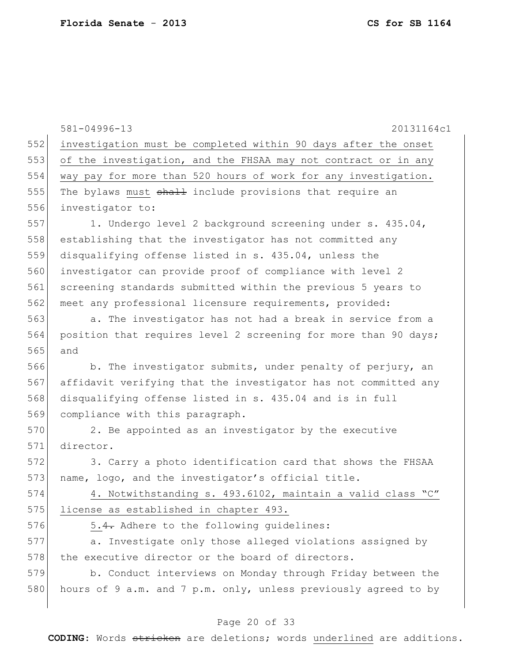581-04996-13 20131164c1 552 investigation must be completed within 90 days after the onset 553 of the investigation, and the FHSAA may not contract or in any 554 way pay for more than 520 hours of work for any investigation. 555 The bylaws must shall include provisions that require an 556 investigator to: 557 1. Undergo level 2 background screening under s. 435.04, 558 establishing that the investigator has not committed any 559 disqualifying offense listed in s. 435.04, unless the 560 investigator can provide proof of compliance with level 2 561 screening standards submitted within the previous 5 years to 562 meet any professional licensure requirements, provided: 563 a. The investigator has not had a break in service from a 564 position that requires level 2 screening for more than 90 days; 565 and 566 b. The investigator submits, under penalty of perjury, an 567 affidavit verifying that the investigator has not committed any 568 disqualifying offense listed in s. 435.04 and is in full 569 compliance with this paragraph. 570 2. Be appointed as an investigator by the executive 571 director. 572 3. Carry a photo identification card that shows the FHSAA 573 name, logo, and the investigator's official title. 574 4. Notwithstanding s. 493.6102, maintain a valid class "C" 575 license as established in chapter 493. 576 5.4. Adhere to the following quidelines: 577 a. Investigate only those alleged violations assigned by 578 the executive director or the board of directors. 579 b. Conduct interviews on Monday through Friday between the 580 hours of 9 a.m. and 7 p.m. only, unless previously agreed to by

### Page 20 of 33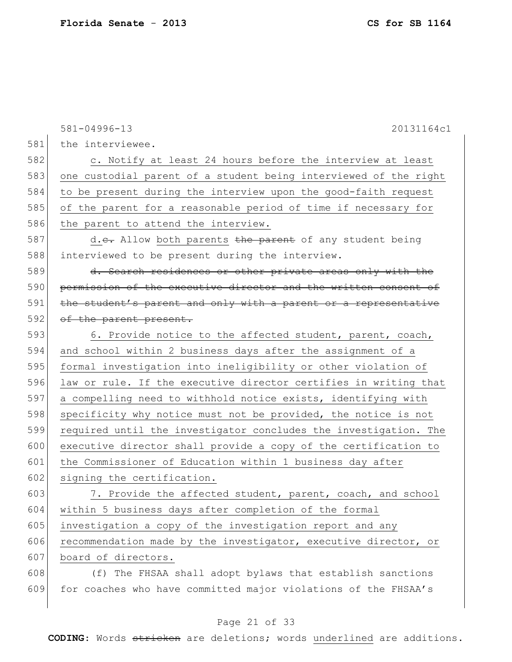|     | 581-04996-13<br>20131164c1                                       |
|-----|------------------------------------------------------------------|
| 581 | the interviewee.                                                 |
| 582 | c. Notify at least 24 hours before the interview at least        |
| 583 | one custodial parent of a student being interviewed of the right |
| 584 | to be present during the interview upon the good-faith request   |
| 585 | of the parent for a reasonable period of time if necessary for   |
| 586 | the parent to attend the interview.                              |
| 587 | d.e. Allow both parents the parent of any student being          |
| 588 | interviewed to be present during the interview.                  |
| 589 | d. Search residences or other private areas only with the        |
| 590 | permission of the executive director and the written consent of  |
| 591 | the student's parent and only with a parent or a representative  |
| 592 | of the parent present.                                           |
| 593 | 6. Provide notice to the affected student, parent, coach,        |
| 594 | and school within 2 business days after the assignment of a      |
| 595 | formal investigation into ineligibility or other violation of    |
| 596 | law or rule. If the executive director certifies in writing that |
| 597 | a compelling need to withhold notice exists, identifying with    |
| 598 | specificity why notice must not be provided, the notice is not   |
| 599 | required until the investigator concludes the investigation. The |
| 600 | executive director shall provide a copy of the certification to  |
| 601 | the Commissioner of Education within 1 business day after        |
| 602 | signing the certification.                                       |
| 603 | 7. Provide the affected student, parent, coach, and school       |
| 604 | within 5 business days after completion of the formal            |
| 605 | investigation a copy of the investigation report and any         |
| 606 | recommendation made by the investigator, executive director, or  |
| 607 | board of directors.                                              |
| 608 | (f) The FHSAA shall adopt bylaws that establish sanctions        |
| 609 | for coaches who have committed major violations of the FHSAA's   |

## Page 21 of 33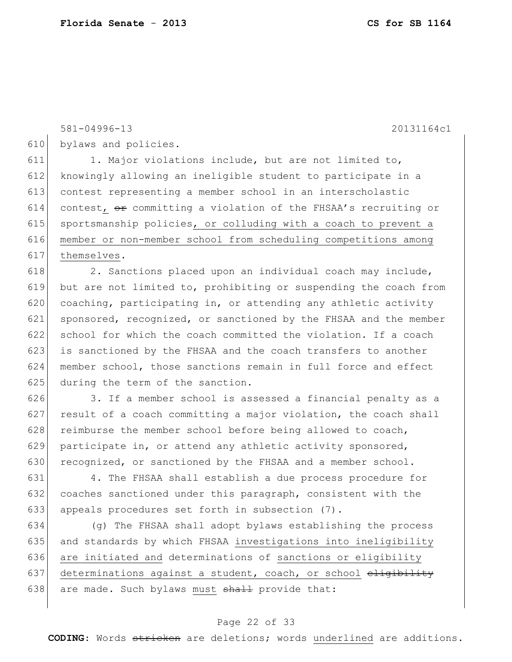625 during the term of the sanction.

581-04996-13 20131164c1 bylaws and policies. 611 1. Major violations include, but are not limited to, knowingly allowing an ineligible student to participate in a contest representing a member school in an interscholastic 614 contest,  $\Theta$  committing a violation of the FHSAA's recruiting or 615 sportsmanship policies, or colluding with a coach to prevent a member or non-member school from scheduling competitions among themselves.  $\vert$  2. Sanctions placed upon an individual coach may include, but are not limited to, prohibiting or suspending the coach from  $\vert$  coaching, participating in, or attending any athletic activity 621 sponsored, recognized, or sanctioned by the FHSAA and the member 622 school for which the coach committed the violation. If a coach is sanctioned by the FHSAA and the coach transfers to another member school, those sanctions remain in full force and effect

626 3. If a member school is assessed a financial penalty as a  $627$  result of a coach committing a major violation, the coach shall 628 reimburse the member school before being allowed to coach, 629 participate in, or attend any athletic activity sponsored, 630 recognized, or sanctioned by the FHSAA and a member school.

631 4. The FHSAA shall establish a due process procedure for 632 coaches sanctioned under this paragraph, consistent with the 633 appeals procedures set forth in subsection (7).

634 (g) The FHSAA shall adopt bylaws establishing the process 635 and standards by which FHSAA investigations into ineligibility 636 are initiated and determinations of sanctions or eligibility 637 determinations against a student, coach, or school  $\epsilon$ 638 are made. Such bylaws must  $shall$  provide that:

#### Page 22 of 33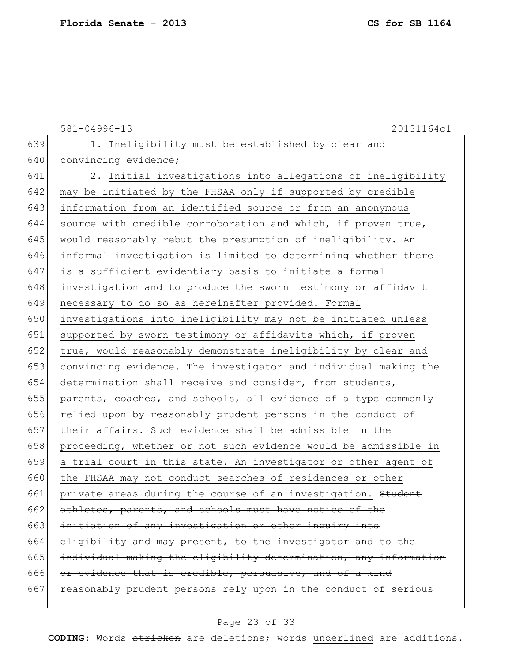581-04996-13 20131164c1 639 1. Ineligibility must be established by clear and 640 convincing evidence; 641 2. Initial investigations into allegations of ineligibility 642 may be initiated by the FHSAA only if supported by credible 643 information from an identified source or from an anonymous 644 source with credible corroboration and which, if proven true, 645 would reasonably rebut the presumption of ineligibility. An 646 informal investigation is limited to determining whether there 647 is a sufficient evidentiary basis to initiate a formal 648 investigation and to produce the sworn testimony or affidavit 649 necessary to do so as hereinafter provided. Formal 650 investigations into ineligibility may not be initiated unless 651 supported by sworn testimony or affidavits which, if proven 652 true, would reasonably demonstrate ineligibility by clear and 653 convincing evidence. The investigator and individual making the 654 determination shall receive and consider, from students, 655 parents, coaches, and schools, all evidence of a type commonly 656 relied upon by reasonably prudent persons in the conduct of 657 their affairs. Such evidence shall be admissible in the 658 proceeding, whether or not such evidence would be admissible in 659 a trial court in this state. An investigator or other agent of 660 the FHSAA may not conduct searches of residences or other 661 private areas during the course of an investigation. Student 662  $athletes, parents, and schools must have notice of the$ 663 initiation of any investigation or other inquiry into 664 eligibility and may present, to the investigator and to the 665 individual making the eligibility determination, any information 666 or evidence that is credible, persuasive, and of a kind  $667$  reasonably prudent persons rely upon in the conduct of serious

#### Page 23 of 33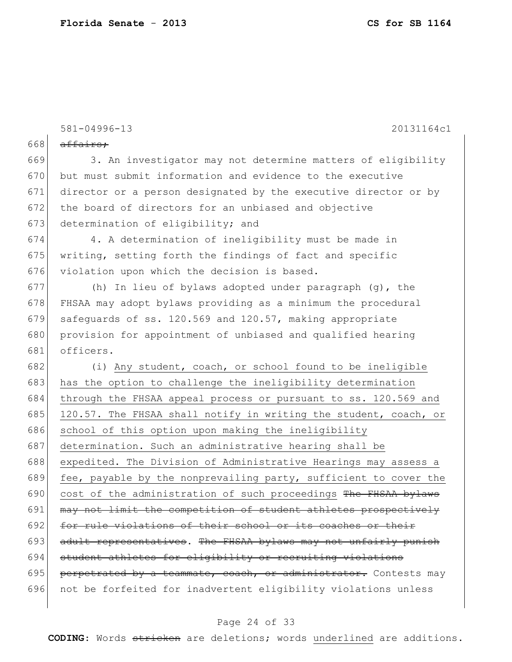$\overline{\phantom{a}}$ 

|     | $581 - 04996 - 13$<br>20131164c1                                 |
|-----|------------------------------------------------------------------|
| 668 | affairs;                                                         |
| 669 | 3. An investigator may not determine matters of eligibility      |
| 670 |                                                                  |
|     | but must submit information and evidence to the executive        |
| 671 | director or a person designated by the executive director or by  |
| 672 | the board of directors for an unbiased and objective             |
| 673 | determination of eligibility; and                                |
| 674 | 4. A determination of ineligibility must be made in              |
| 675 | writing, setting forth the findings of fact and specific         |
| 676 | violation upon which the decision is based.                      |
| 677 | (h) In lieu of bylaws adopted under paragraph (g), the           |
| 678 | FHSAA may adopt bylaws providing as a minimum the procedural     |
| 679 | safequards of ss. 120.569 and 120.57, making appropriate         |
| 680 | provision for appointment of unbiased and qualified hearing      |
| 681 | officers.                                                        |
| 682 | (i) Any student, coach, or school found to be ineligible         |
| 683 | has the option to challenge the ineligibility determination      |
| 684 | through the FHSAA appeal process or pursuant to ss. 120.569 and  |
| 685 | 120.57. The FHSAA shall notify in writing the student, coach, or |
| 686 | school of this option upon making the ineligibility              |
| 687 | determination. Such an administrative hearing shall be           |
| 688 | expedited. The Division of Administrative Hearings may assess a  |
| 689 | fee, payable by the nonprevailing party, sufficient to cover the |
| 690 | cost of the administration of such proceedings The FHSAA bylaws  |
| 691 | may not limit the competition of student athletes prospectively  |
| 692 | for rule violations of their school or its coaches or their      |
| 693 | adult representatives. The FHSAA bylaws may not unfairly punish  |
| 694 | student athletes for eligibility or recruiting violations        |
| 695 | perpetrated by a teammate, coach, or administrator. Contests may |
| 696 | not be forfeited for inadvertent eligibility violations unless   |

## Page 24 of 33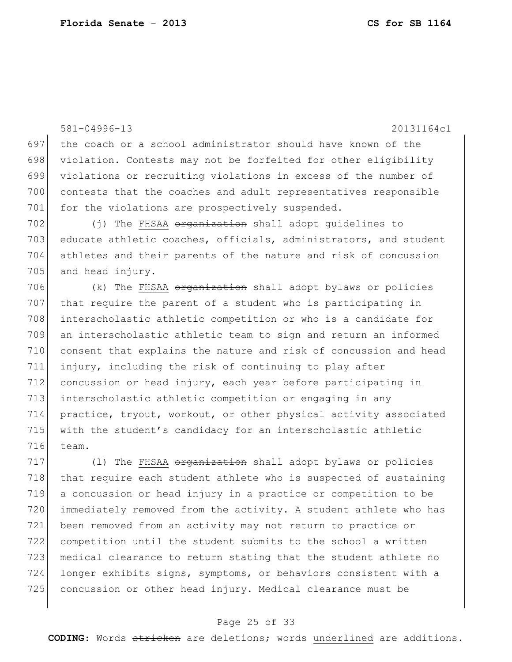581-04996-13 20131164c1 the coach or a school administrator should have known of the violation. Contests may not be forfeited for other eligibility violations or recruiting violations in excess of the number of contests that the coaches and adult representatives responsible 701 for the violations are prospectively suspended. 702 (j) The FHSAA <del>organization</del> shall adopt guidelines to 703 educate athletic coaches, officials, administrators, and student athletes and their parents of the nature and risk of concussion 705 and head injury.  $(k)$  The FHSAA <del>organization</del> shall adopt bylaws or policies 707 that require the parent of a student who is participating in interscholastic athletic competition or who is a candidate for an interscholastic athletic team to sign and return an informed consent that explains the nature and risk of concussion and head injury, including the risk of continuing to play after concussion or head injury, each year before participating in interscholastic athletic competition or engaging in any practice, tryout, workout, or other physical activity associated 715 with the student's candidacy for an interscholastic athletic team.

 (1) The FHSAA <del>organization</del> shall adopt bylaws or policies 718 that require each student athlete who is suspected of sustaining a concussion or head injury in a practice or competition to be 720 immediately removed from the activity. A student athlete who has been removed from an activity may not return to practice or competition until the student submits to the school a written medical clearance to return stating that the student athlete no longer exhibits signs, symptoms, or behaviors consistent with a concussion or other head injury. Medical clearance must be

### Page 25 of 33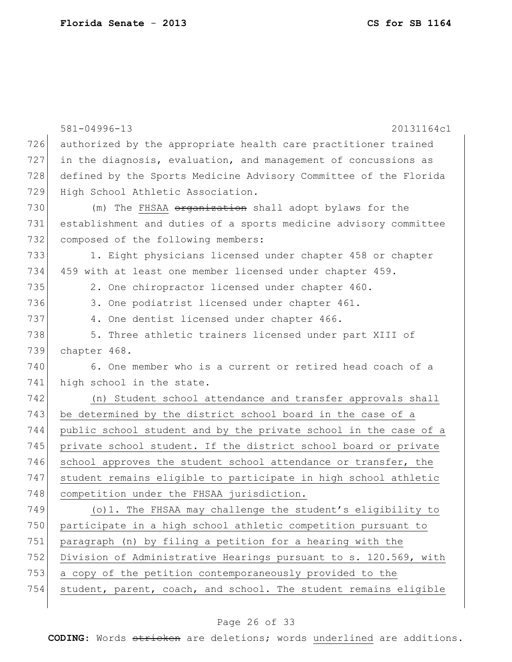|     | 581-04996-13<br>20131164c1                                       |
|-----|------------------------------------------------------------------|
| 726 | authorized by the appropriate health care practitioner trained   |
| 727 | in the diagnosis, evaluation, and management of concussions as   |
| 728 | defined by the Sports Medicine Advisory Committee of the Florida |
| 729 | High School Athletic Association.                                |
| 730 | (m) The FHSAA organization shall adopt bylaws for the            |
| 731 | establishment and duties of a sports medicine advisory committee |
| 732 | composed of the following members:                               |
| 733 | 1. Eight physicians licensed under chapter 458 or chapter        |
| 734 | 459 with at least one member licensed under chapter 459.         |
| 735 | 2. One chiropractor licensed under chapter 460.                  |
| 736 | 3. One podiatrist licensed under chapter 461.                    |
| 737 | 4. One dentist licensed under chapter 466.                       |
| 738 | 5. Three athletic trainers licensed under part XIII of           |
| 739 | chapter 468.                                                     |
| 740 | 6. One member who is a current or retired head coach of a        |
| 741 | high school in the state.                                        |
| 742 | (n) Student school attendance and transfer approvals shall       |
| 743 | be determined by the district school board in the case of a      |
| 744 | public school student and by the private school in the case of a |
| 745 | private school student. If the district school board or private  |
| 746 | school approves the student school attendance or transfer, the   |
| 747 | student remains eligible to participate in high school athletic  |
| 748 | competition under the FHSAA jurisdiction.                        |
| 749 | (o) 1. The FHSAA may challenge the student's eligibility to      |
| 750 | participate in a high school athletic competition pursuant to    |
| 751 | paragraph (n) by filing a petition for a hearing with the        |
| 752 | Division of Administrative Hearings pursuant to s. 120.569, with |
| 753 | a copy of the petition contemporaneously provided to the         |
| 754 | student, parent, coach, and school. The student remains eligible |
|     |                                                                  |

## Page 26 of 33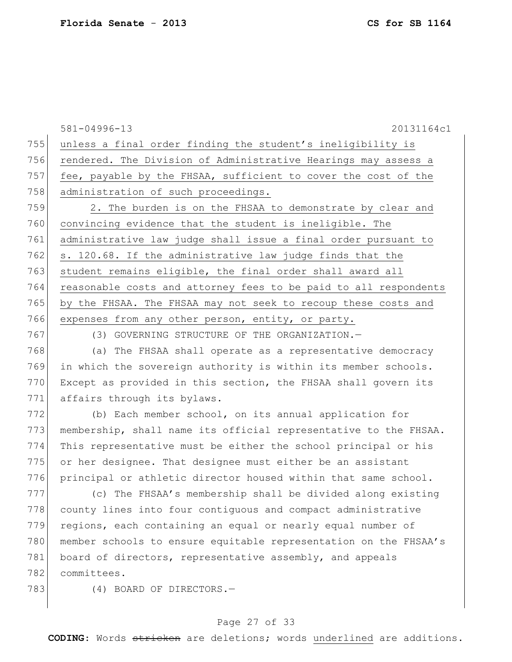581-04996-13 20131164c1 755 unless a final order finding the student's ineligibility is 756 rendered. The Division of Administrative Hearings may assess a 757 fee, payable by the FHSAA, sufficient to cover the cost of the 758 administration of such proceedings. 759 2. The burden is on the FHSAA to demonstrate by clear and 760 convincing evidence that the student is ineligible. The 761 administrative law judge shall issue a final order pursuant to 762 s. 120.68. If the administrative law judge finds that the 763 student remains eligible, the final order shall award all 764 reasonable costs and attorney fees to be paid to all respondents 765 by the FHSAA. The FHSAA may not seek to recoup these costs and 766 expenses from any other person, entity, or party. 767 (3) GOVERNING STRUCTURE OF THE ORGANIZATION.—

768 (a) The FHSAA shall operate as a representative democracy 769 in which the sovereign authority is within its member schools. 770 Except as provided in this section, the FHSAA shall govern its 771 affairs through its bylaws.

772 (b) Each member school, on its annual application for 773 membership, shall name its official representative to the FHSAA. 774 This representative must be either the school principal or his 775 or her designee. That designee must either be an assistant 776 principal or athletic director housed within that same school.

777 (c) The FHSAA's membership shall be divided along existing 778 county lines into four contiguous and compact administrative 779 regions, each containing an equal or nearly equal number of 780 member schools to ensure equitable representation on the FHSAA's 781 board of directors, representative assembly, and appeals 782 committees.

783 (4) BOARD OF DIRECTORS.

### Page 27 of 33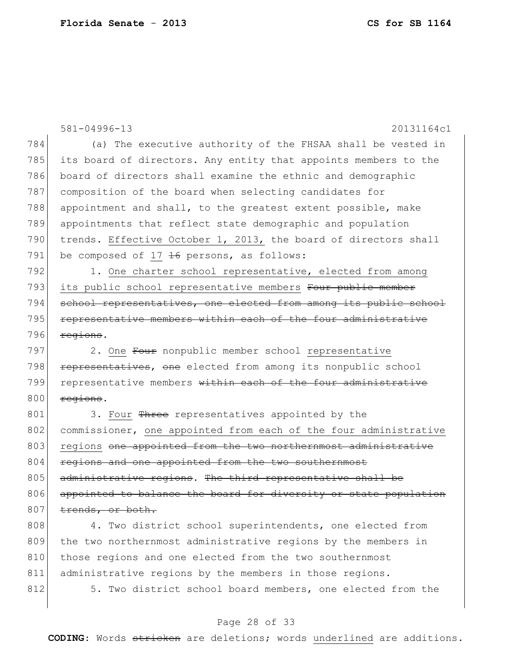|     | 581-04996-13<br>20131164c1                                       |
|-----|------------------------------------------------------------------|
| 784 | (a) The executive authority of the FHSAA shall be vested in      |
| 785 | its board of directors. Any entity that appoints members to the  |
| 786 | board of directors shall examine the ethnic and demographic      |
| 787 | composition of the board when selecting candidates for           |
| 788 | appointment and shall, to the greatest extent possible, make     |
| 789 | appointments that reflect state demographic and population       |
| 790 | trends. Effective October 1, 2013, the board of directors shall  |
| 791 | be composed of $17$ $16$ persons, as follows:                    |
| 792 | 1. One charter school representative, elected from among         |
| 793 | its public school representative members Four public member      |
| 794 | school representatives, one elected from among its public school |
| 795 | representative members within each of the four administrative    |
| 796 | regions.                                                         |
| 797 | 2. One Four nonpublic member school representative               |
| 798 | representatives, one elected from among its nonpublic school     |
| 799 | representative members within each of the four administrative    |
| 800 | regions.                                                         |
| 801 | 3. Four Three representatives appointed by the                   |
| 802 | commissioner, one appointed from each of the four administrative |
| 803 | regions one appointed from the two northernmost administrative   |
| 804 | regions and one appointed from the two southernmost              |
| 805 | administrative regions. The third representative shall be        |
| 806 | appointed to balance the board for diversity or state population |
| 807 | trends, or both.                                                 |
| 808 | 4. Two district school superintendents, one elected from         |
| 809 | the two northernmost administrative regions by the members in    |
| 810 | those regions and one elected from the two southernmost          |
| 811 | administrative regions by the members in those regions.          |
| 812 | Two district school board members, one elected from the<br>5.    |

# Page 28 of 33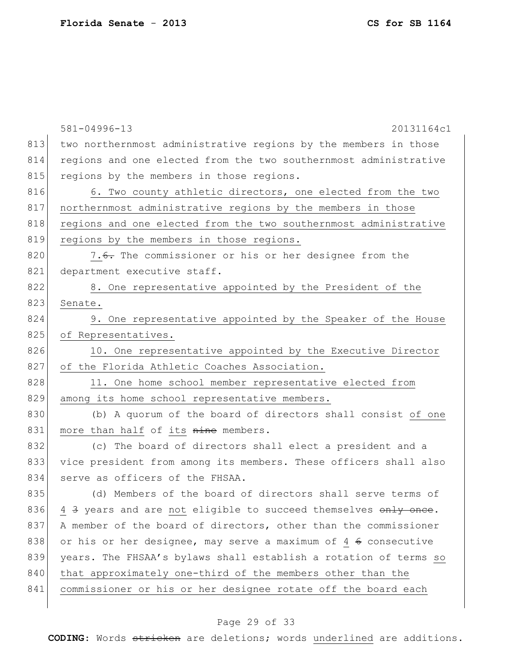|     | 581-04996-13<br>20131164c1                                       |
|-----|------------------------------------------------------------------|
| 813 | two northernmost administrative regions by the members in those  |
| 814 | regions and one elected from the two southernmost administrative |
| 815 | regions by the members in those regions.                         |
| 816 | 6. Two county athletic directors, one elected from the two       |
| 817 | northernmost administrative regions by the members in those      |
| 818 | regions and one elected from the two southernmost administrative |
| 819 | regions by the members in those regions.                         |
| 820 | 7.6. The commissioner or his or her designee from the            |
| 821 | department executive staff.                                      |
| 822 | 8. One representative appointed by the President of the          |
| 823 | Senate.                                                          |
| 824 | 9. One representative appointed by the Speaker of the House      |
| 825 | of Representatives.                                              |
| 826 | 10. One representative appointed by the Executive Director       |
| 827 | of the Florida Athletic Coaches Association.                     |
| 828 | 11. One home school member representative elected from           |
| 829 | among its home school representative members.                    |
| 830 | (b) A quorum of the board of directors shall consist of one      |
| 831 | more than half of its nine members.                              |
| 832 | (c) The board of directors shall elect a president and a         |
| 833 | vice president from among its members. These officers shall also |
| 834 | serve as officers of the FHSAA.                                  |
| 835 | (d) Members of the board of directors shall serve terms of       |
| 836 | 4 3 years and are not eligible to succeed themselves only once.  |
| 837 | A member of the board of directors, other than the commissioner  |
| 838 | or his or her designee, may serve a maximum of 4 6 consecutive   |
| 839 | years. The FHSAA's bylaws shall establish a rotation of terms so |
| 840 | that approximately one-third of the members other than the       |
| 841 | commissioner or his or her designee rotate off the board each    |
|     |                                                                  |

## Page 29 of 33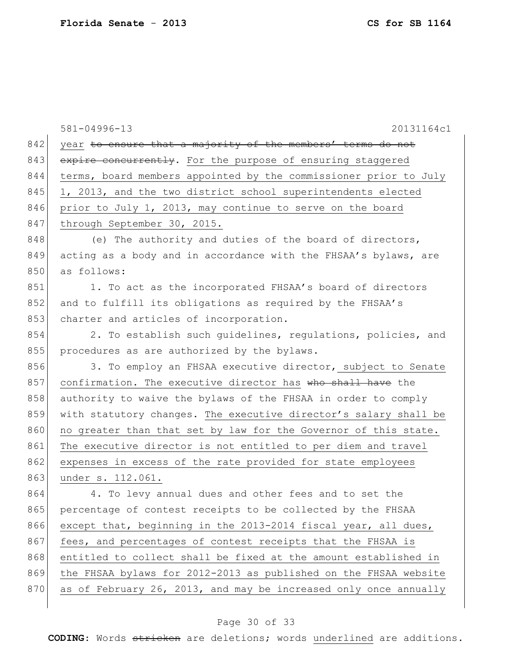|     | 581-04996-13<br>20131164c1                                       |
|-----|------------------------------------------------------------------|
| 842 | year to ensure that a majority of the members' terms do not      |
| 843 | expire concurrently. For the purpose of ensuring staggered       |
| 844 | terms, board members appointed by the commissioner prior to July |
| 845 | 1, 2013, and the two district school superintendents elected     |
| 846 | prior to July 1, 2013, may continue to serve on the board        |
| 847 | through September 30, 2015.                                      |
| 848 | (e) The authority and duties of the board of directors,          |
| 849 | acting as a body and in accordance with the FHSAA's bylaws, are  |
| 850 | as follows:                                                      |
| 851 | 1. To act as the incorporated FHSAA's board of directors         |
| 852 | and to fulfill its obligations as required by the FHSAA's        |
| 853 | charter and articles of incorporation.                           |
| 854 | 2. To establish such guidelines, regulations, policies, and      |
| 855 | procedures as are authorized by the bylaws.                      |
| 856 | 3. To employ an FHSAA executive director, subject to Senate      |
| 857 | confirmation. The executive director has who shall have the      |
| 858 | authority to waive the bylaws of the FHSAA in order to comply    |
| 859 | with statutory changes. The executive director's salary shall be |
| 860 | no greater than that set by law for the Governor of this state.  |
| 861 | The executive director is not entitled to per diem and travel    |
| 862 | expenses in excess of the rate provided for state employees      |
| 863 | under s. 112.061.                                                |
| 864 | 4. To levy annual dues and other fees and to set the             |
| 865 | percentage of contest receipts to be collected by the FHSAA      |
| 866 | except that, beginning in the 2013-2014 fiscal year, all dues,   |
| 867 | fees, and percentages of contest receipts that the FHSAA is      |
| 868 | entitled to collect shall be fixed at the amount established in  |
| 869 | the FHSAA bylaws for 2012-2013 as published on the FHSAA website |
| 870 | as of February 26, 2013, and may be increased only once annually |
|     |                                                                  |

## Page 30 of 33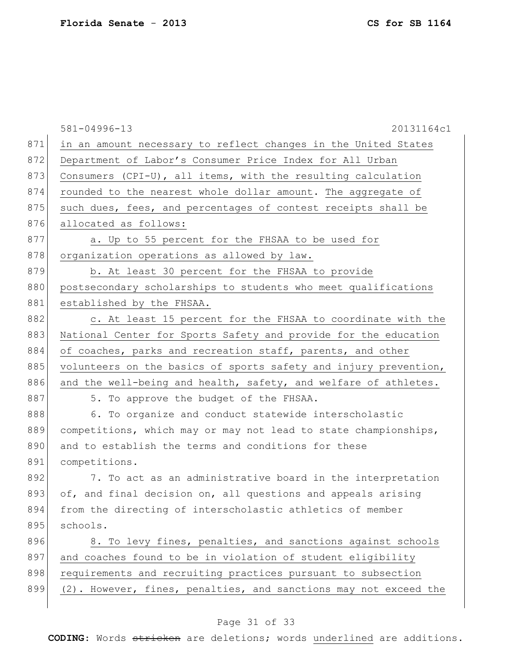|     | 20131164c1<br>581-04996-13                                       |
|-----|------------------------------------------------------------------|
| 871 | in an amount necessary to reflect changes in the United States   |
| 872 | Department of Labor's Consumer Price Index for All Urban         |
| 873 | Consumers $(CPI-U)$ , all items, with the resulting calculation  |
| 874 | rounded to the nearest whole dollar amount. The aggregate of     |
| 875 | such dues, fees, and percentages of contest receipts shall be    |
| 876 | allocated as follows:                                            |
| 877 | a. Up to 55 percent for the FHSAA to be used for                 |
| 878 | organization operations as allowed by law.                       |
| 879 | b. At least 30 percent for the FHSAA to provide                  |
| 880 | postsecondary scholarships to students who meet qualifications   |
| 881 | established by the FHSAA.                                        |
| 882 | c. At least 15 percent for the FHSAA to coordinate with the      |
| 883 | National Center for Sports Safety and provide for the education  |
| 884 | of coaches, parks and recreation staff, parents, and other       |
| 885 | volunteers on the basics of sports safety and injury prevention, |
| 886 | and the well-being and health, safety, and welfare of athletes.  |
| 887 | 5. To approve the budget of the FHSAA.                           |
| 888 | 6. To organize and conduct statewide interscholastic             |
| 889 | competitions, which may or may not lead to state championships,  |
| 890 | and to establish the terms and conditions for these              |
| 891 | competitions.                                                    |
| 892 | 7. To act as an administrative board in the interpretation       |
| 893 | of, and final decision on, all questions and appeals arising     |
| 894 | from the directing of interscholastic athletics of member        |
| 895 | schools.                                                         |
| 896 | 8. To levy fines, penalties, and sanctions against schools       |
| 897 | and coaches found to be in violation of student eligibility      |
| 898 | requirements and recruiting practices pursuant to subsection     |
| 899 | (2). However, fines, penalties, and sanctions may not exceed the |
|     |                                                                  |

## Page 31 of 33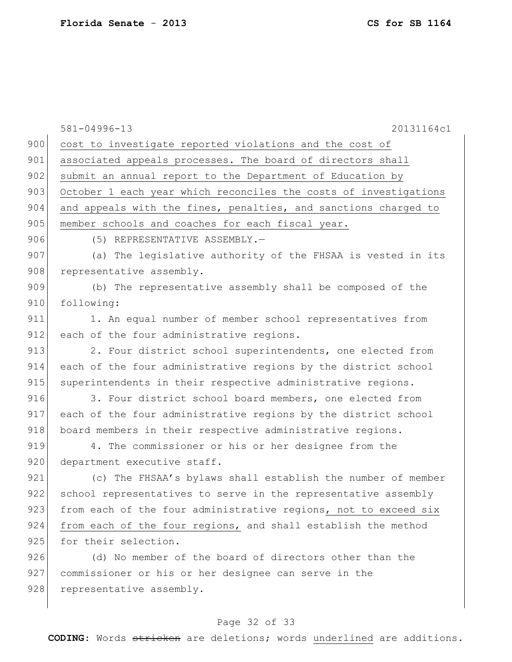|     | 581-04996-13<br>20131164c1                                       |
|-----|------------------------------------------------------------------|
| 900 | cost to investigate reported violations and the cost of          |
| 901 | associated appeals processes. The board of directors shall       |
| 902 | submit an annual report to the Department of Education by        |
| 903 | October 1 each year which reconciles the costs of investigations |
| 904 | and appeals with the fines, penalties, and sanctions charged to  |
| 905 | member schools and coaches for each fiscal year.                 |
| 906 | (5) REPRESENTATIVE ASSEMBLY.-                                    |
| 907 | (a) The legislative authority of the FHSAA is vested in its      |
| 908 | representative assembly.                                         |
| 909 | (b) The representative assembly shall be composed of the         |
| 910 | following:                                                       |
| 911 | 1. An equal number of member school representatives from         |
| 912 | each of the four administrative regions.                         |
| 913 | 2. Four district school superintendents, one elected from        |
| 914 | each of the four administrative regions by the district school   |
| 915 | superintendents in their respective administrative regions.      |
| 916 | 3. Four district school board members, one elected from          |
| 917 | each of the four administrative regions by the district school   |
| 918 | board members in their respective administrative regions.        |
| 919 | 4. The commissioner or his or her designee from the              |
| 920 | department executive staff.                                      |
| 921 | (c) The FHSAA's bylaws shall establish the number of member      |
| 922 | school representatives to serve in the representative assembly   |
| 923 | from each of the four administrative regions, not to exceed six  |
| 924 | from each of the four regions, and shall establish the method    |
| 925 | for their selection.                                             |
| 926 | (d) No member of the board of directors other than the           |
| 927 | commissioner or his or her designee can serve in the             |
| 928 | representative assembly.                                         |
|     |                                                                  |

## Page 32 of 33